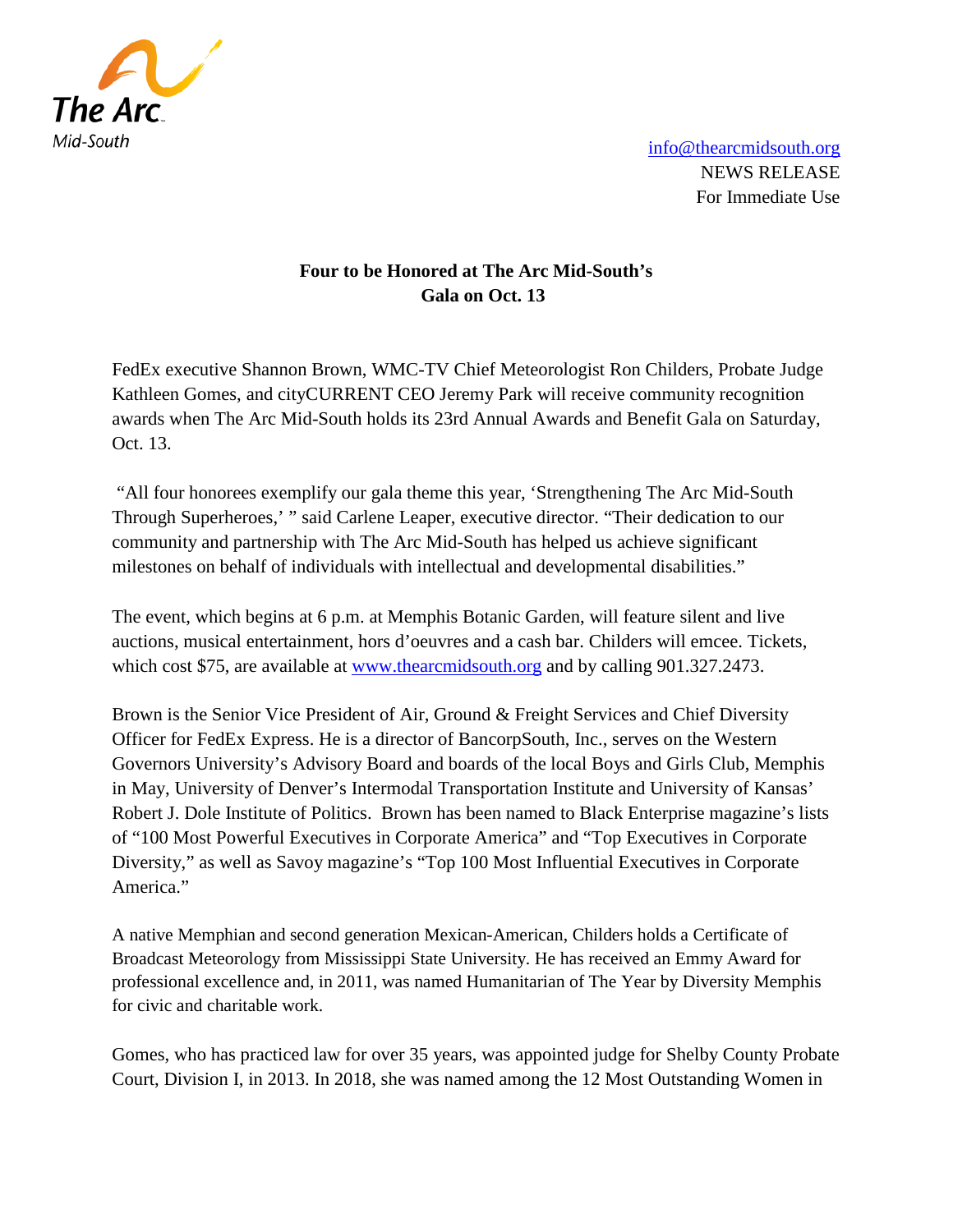

[info@thearcmidsouth.org](mailto:info@thearcmidsouth.org) NEWS RELEASE For Immediate Use

## **Four to be Honored at The Arc Mid-South's Gala on Oct. 13**

FedEx executive Shannon Brown, WMC-TV Chief Meteorologist Ron Childers, Probate Judge Kathleen Gomes, and cityCURRENT CEO Jeremy Park will receive community recognition awards when The Arc Mid-South holds its 23rd Annual Awards and Benefit Gala on Saturday, Oct. 13.

"All four honorees exemplify our gala theme this year, 'Strengthening The Arc Mid-South Through Superheroes,' " said Carlene Leaper, executive director. "Their dedication to our community and partnership with The Arc Mid-South has helped us achieve significant milestones on behalf of individuals with intellectual and developmental disabilities."

The event, which begins at 6 p.m. at Memphis Botanic Garden, will feature silent and live auctions, musical entertainment, hors d'oeuvres and a cash bar. Childers will emcee. Tickets, which cost \$75, are available at [www.thearcmidsouth.org](http://www.thearcmidsouth.org/) and by calling 901.327.2473.

Brown is the Senior Vice President of Air, Ground & Freight Services and Chief Diversity Officer for FedEx Express. He is a director of BancorpSouth, Inc., serves on the Western Governors University's Advisory Board and boards of the local Boys and Girls Club, Memphis in May, University of Denver's Intermodal Transportation Institute and University of Kansas' Robert J. Dole Institute of Politics. Brown has been named to Black Enterprise magazine's lists of "100 Most Powerful Executives in Corporate America" and "Top Executives in Corporate Diversity," as well as Savoy magazine's "Top 100 Most Influential Executives in Corporate America."

A native Memphian and second generation Mexican-American, Childers holds a Certificate of Broadcast Meteorology from Mississippi State University. He has received an Emmy Award for professional excellence and, in 2011, was named Humanitarian of The Year by Diversity Memphis for civic and charitable work.

Gomes, who has practiced law for over 35 years, was appointed judge for Shelby County Probate Court, Division I, in 2013. In 2018, she was named among the 12 Most Outstanding Women in